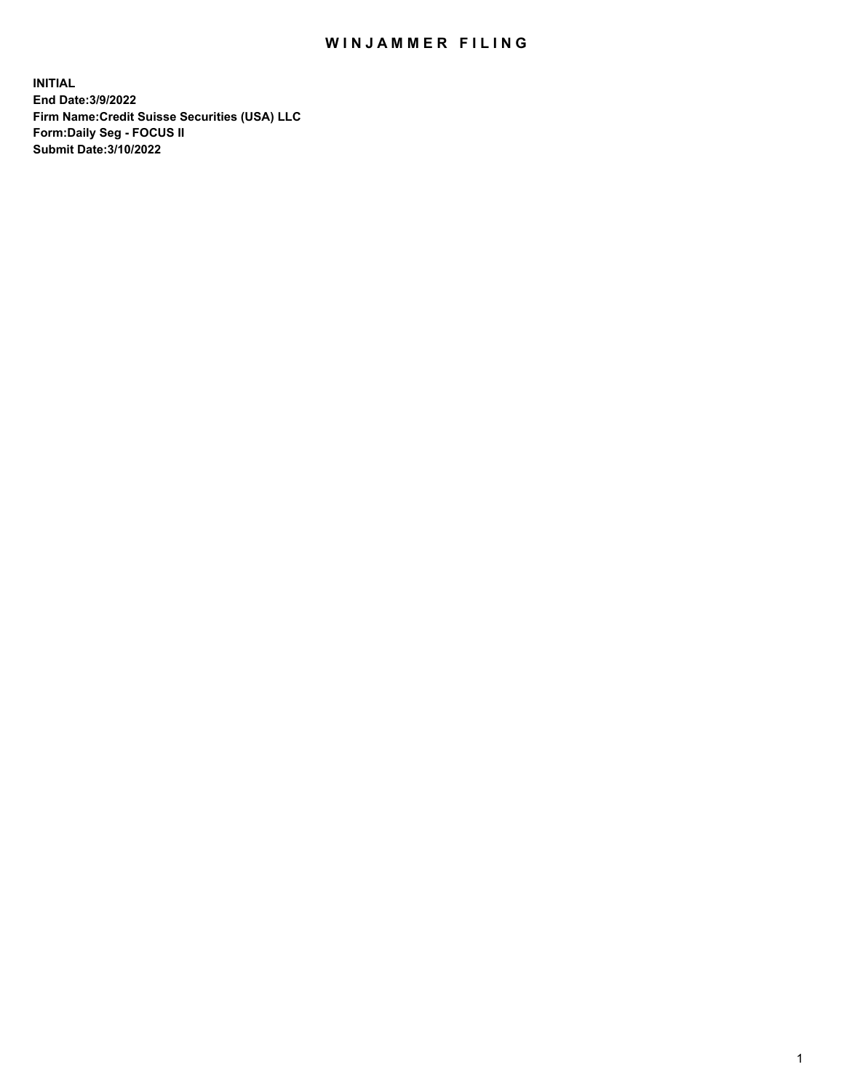# WIN JAMMER FILING

**INITIAL End Date:3/9/2022 Firm Name:Credit Suisse Securities (USA) LLC Form:Daily Seg - FOCUS II Submit Date:3/10/2022**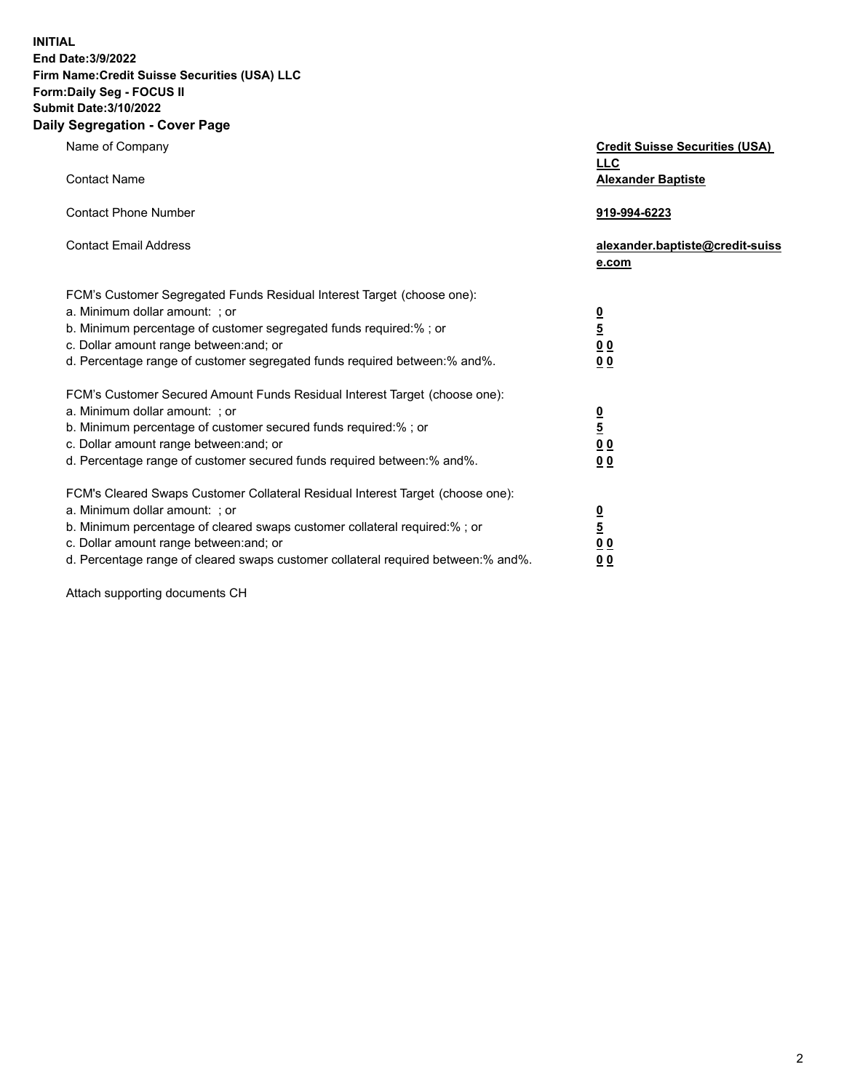**INITIAL End Date:3/9/2022** 

### **Firm Name:Credit Suisse Securities (USA) LLC Form:Daily Seg - FOCUS II Submit Date:3/10/2022**

#### **Daily Segregation - Cover Page**

| Name of Company                                                                                                                                                                                                                                                                                                                  | <b>Credit Suisse Securities (USA)</b><br><b>LLC</b>                   |
|----------------------------------------------------------------------------------------------------------------------------------------------------------------------------------------------------------------------------------------------------------------------------------------------------------------------------------|-----------------------------------------------------------------------|
| <b>Contact Name</b>                                                                                                                                                                                                                                                                                                              | <b>Alexander Baptiste</b>                                             |
| <b>Contact Phone Number</b>                                                                                                                                                                                                                                                                                                      | 919-994-6223                                                          |
| <b>Contact Email Address</b>                                                                                                                                                                                                                                                                                                     | alexander.baptiste@credit-suiss<br>e.com                              |
| FCM's Customer Segregated Funds Residual Interest Target (choose one):<br>a. Minimum dollar amount: ; or<br>b. Minimum percentage of customer segregated funds required:% ; or<br>c. Dollar amount range between: and; or<br>d. Percentage range of customer segregated funds required between: % and %.                         | $\frac{0}{5}$<br>0 <sub>0</sub><br>0 <sub>0</sub>                     |
| FCM's Customer Secured Amount Funds Residual Interest Target (choose one):<br>a. Minimum dollar amount: ; or<br>b. Minimum percentage of customer secured funds required:%; or<br>c. Dollar amount range between: and; or<br>d. Percentage range of customer secured funds required between:% and%.                              | $\frac{0}{5}$<br>$\underline{0}$<br>$\underline{0}$<br>0 <sub>0</sub> |
| FCM's Cleared Swaps Customer Collateral Residual Interest Target (choose one):<br>a. Minimum dollar amount: ; or<br>b. Minimum percentage of cleared swaps customer collateral required:% ; or<br>c. Dollar amount range between: and; or<br>d. Percentage range of cleared swaps customer collateral required between: % and %. | $\frac{0}{5}$<br>0 <sub>0</sub><br>0 <sub>0</sub>                     |

Attach supporting documents CH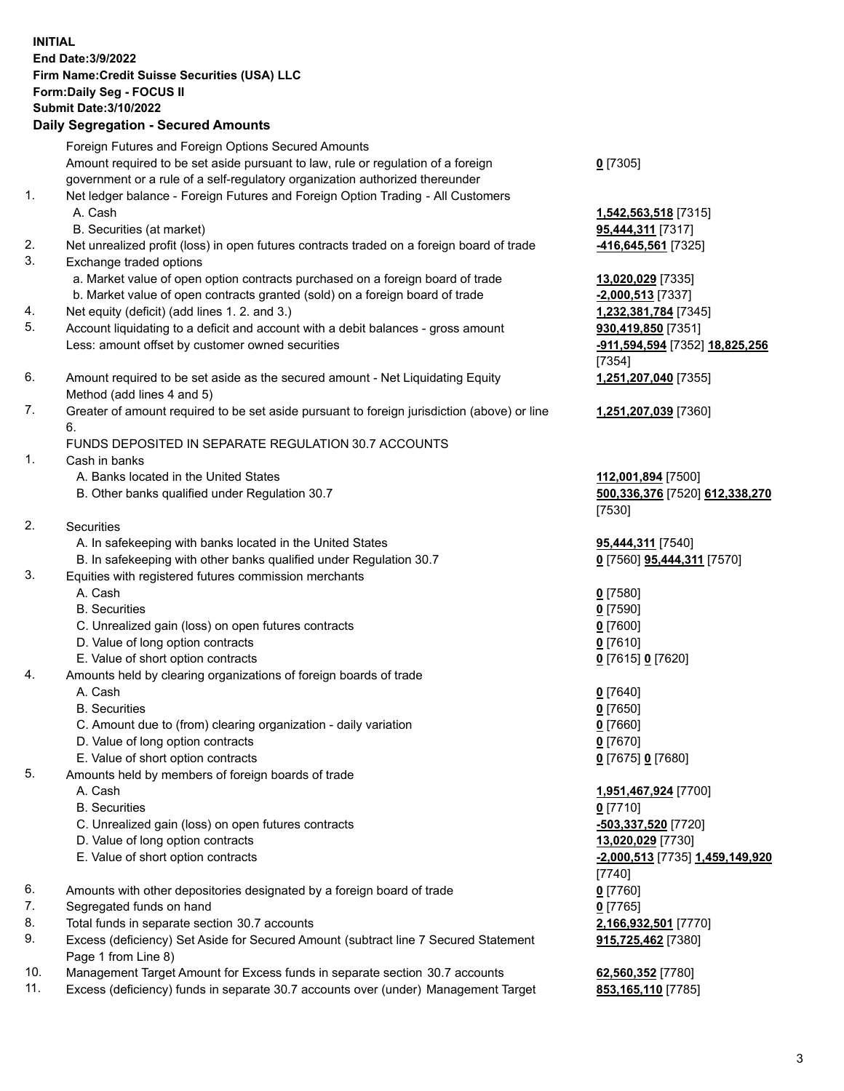# **INITIAL End Date:3/9/2022 Firm Name:Credit Suisse Securities (USA) LLC Form:Daily Seg - FOCUS II Submit Date:3/10/2022**

## **Daily Segregation - Secured Amounts**

|     | Foreign Futures and Foreign Options Secured Amounts                                                                  |                                 |
|-----|----------------------------------------------------------------------------------------------------------------------|---------------------------------|
|     | Amount required to be set aside pursuant to law, rule or regulation of a foreign                                     | $0$ [7305]                      |
| 1.  | government or a rule of a self-regulatory organization authorized thereunder                                         |                                 |
|     | Net ledger balance - Foreign Futures and Foreign Option Trading - All Customers<br>A. Cash                           |                                 |
|     |                                                                                                                      | 1,542,563,518 [7315]            |
| 2.  | B. Securities (at market)                                                                                            | 95,444,311 [7317]               |
| 3.  | Net unrealized profit (loss) in open futures contracts traded on a foreign board of trade<br>Exchange traded options | -416,645,561 [7325]             |
|     | a. Market value of open option contracts purchased on a foreign board of trade                                       | 13,020,029 [7335]               |
|     | b. Market value of open contracts granted (sold) on a foreign board of trade                                         | $-2,000,513$ [7337]             |
| 4.  | Net equity (deficit) (add lines 1. 2. and 3.)                                                                        | 1,232,381,784 [7345]            |
| 5.  | Account liquidating to a deficit and account with a debit balances - gross amount                                    | 930,419,850 [7351]              |
|     | Less: amount offset by customer owned securities                                                                     | -911,594,594 [7352] 18,825,256  |
|     |                                                                                                                      | $[7354]$                        |
| 6.  | Amount required to be set aside as the secured amount - Net Liquidating Equity                                       | 1,251,207,040 [7355]            |
|     | Method (add lines 4 and 5)                                                                                           |                                 |
| 7.  | Greater of amount required to be set aside pursuant to foreign jurisdiction (above) or line                          | 1,251,207,039 [7360]            |
|     | 6.                                                                                                                   |                                 |
|     | FUNDS DEPOSITED IN SEPARATE REGULATION 30.7 ACCOUNTS                                                                 |                                 |
| 1.  | Cash in banks                                                                                                        |                                 |
|     | A. Banks located in the United States                                                                                | 112,001,894 [7500]              |
|     | B. Other banks qualified under Regulation 30.7                                                                       | 500,336,376 [7520] 612,338,270  |
|     |                                                                                                                      | [7530]                          |
| 2.  | <b>Securities</b>                                                                                                    |                                 |
|     | A. In safekeeping with banks located in the United States                                                            | 95,444,311 [7540]               |
|     | B. In safekeeping with other banks qualified under Regulation 30.7                                                   | 0 [7560] 95,444,311 [7570]      |
| 3.  | Equities with registered futures commission merchants                                                                |                                 |
|     | A. Cash                                                                                                              | $0$ [7580]                      |
|     | <b>B.</b> Securities                                                                                                 | $0$ [7590]                      |
|     | C. Unrealized gain (loss) on open futures contracts                                                                  | $0$ [7600]                      |
|     | D. Value of long option contracts                                                                                    | $0$ [7610]                      |
|     | E. Value of short option contracts                                                                                   | 0 [7615] 0 [7620]               |
| 4.  | Amounts held by clearing organizations of foreign boards of trade                                                    |                                 |
|     | A. Cash                                                                                                              | $0$ [7640]                      |
|     | <b>B.</b> Securities                                                                                                 | $0$ [7650]                      |
|     | C. Amount due to (from) clearing organization - daily variation                                                      | $0$ [7660]                      |
|     | D. Value of long option contracts                                                                                    | $0$ [7670]                      |
|     | E. Value of short option contracts                                                                                   | 0 [7675] 0 [7680]               |
| 5.  | Amounts held by members of foreign boards of trade                                                                   |                                 |
|     | A. Cash                                                                                                              | 1,951,467,924 [7700]            |
|     | <b>B.</b> Securities                                                                                                 | $0$ [7710]                      |
|     | C. Unrealized gain (loss) on open futures contracts                                                                  | -503,337,520 [7720]             |
|     | D. Value of long option contracts                                                                                    | 13,020,029 [7730]               |
|     | E. Value of short option contracts                                                                                   | -2,000,513 [7735] 1,459,149,920 |
|     |                                                                                                                      | [7740]                          |
| 6.  | Amounts with other depositories designated by a foreign board of trade                                               | $0$ [7760]                      |
| 7.  | Segregated funds on hand                                                                                             | $0$ [7765]                      |
| 8.  | Total funds in separate section 30.7 accounts                                                                        | 2,166,932,501 [7770]            |
| 9.  | Excess (deficiency) Set Aside for Secured Amount (subtract line 7 Secured Statement<br>Page 1 from Line 8)           | 915,725,462 [7380]              |
| 10. | Management Target Amount for Excess funds in separate section 30.7 accounts                                          | 62,560,352 [7780]               |

11. Excess (deficiency) funds in separate 30.7 accounts over (under) Management Target **853,165,110** [7785]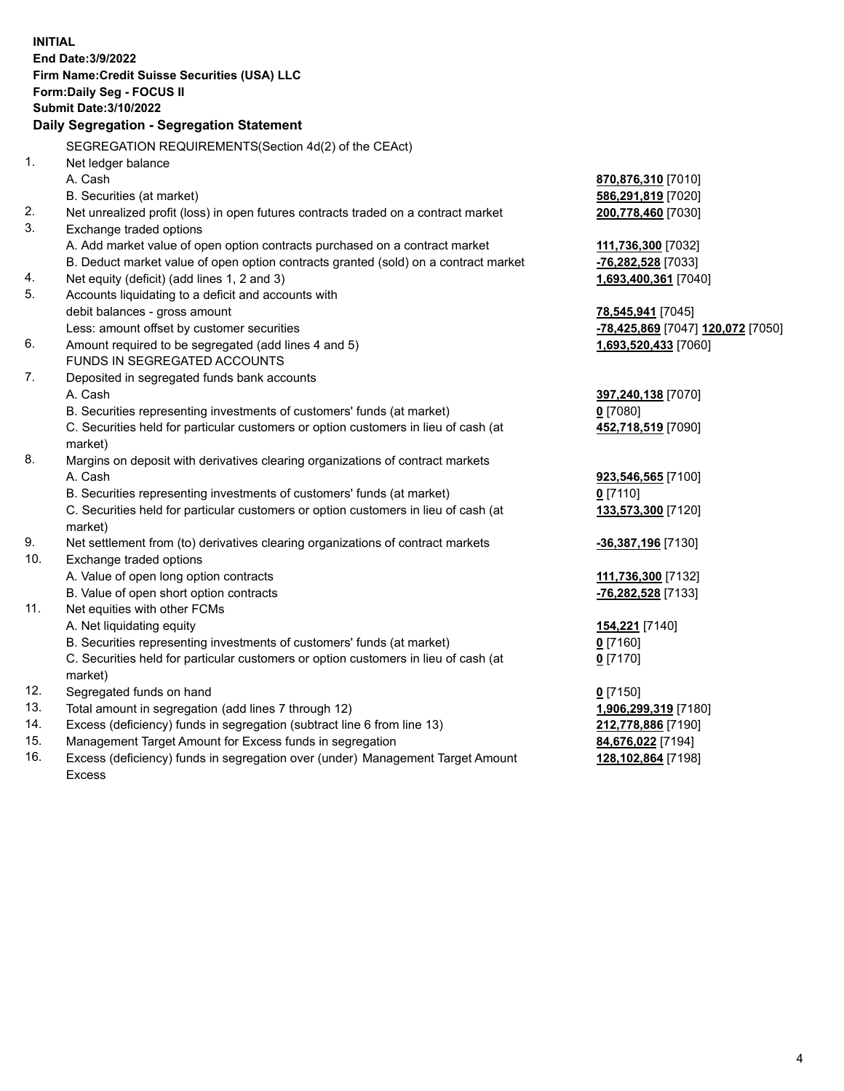|     | <b>INITIAL</b>                                                                                                                                                |                                   |
|-----|---------------------------------------------------------------------------------------------------------------------------------------------------------------|-----------------------------------|
|     | End Date: 3/9/2022                                                                                                                                            |                                   |
|     | Firm Name: Credit Suisse Securities (USA) LLC                                                                                                                 |                                   |
|     | Form: Daily Seg - FOCUS II                                                                                                                                    |                                   |
|     | <b>Submit Date: 3/10/2022</b>                                                                                                                                 |                                   |
|     | Daily Segregation - Segregation Statement                                                                                                                     |                                   |
|     | SEGREGATION REQUIREMENTS(Section 4d(2) of the CEAct)                                                                                                          |                                   |
| 1.  | Net ledger balance                                                                                                                                            |                                   |
|     | A. Cash                                                                                                                                                       | 870,876,310 [7010]                |
|     | B. Securities (at market)                                                                                                                                     | 586,291,819 [7020]                |
| 2.  | Net unrealized profit (loss) in open futures contracts traded on a contract market                                                                            | 200,778,460 [7030]                |
| 3.  | Exchange traded options                                                                                                                                       |                                   |
|     | A. Add market value of open option contracts purchased on a contract market                                                                                   | 111,736,300 [7032]                |
|     | B. Deduct market value of open option contracts granted (sold) on a contract market                                                                           | -76,282,528 [7033]                |
| 4.  | Net equity (deficit) (add lines 1, 2 and 3)                                                                                                                   | 1,693,400,361 [7040]              |
| 5.  | Accounts liquidating to a deficit and accounts with                                                                                                           |                                   |
|     | debit balances - gross amount                                                                                                                                 | 78,545,941 [7045]                 |
|     | Less: amount offset by customer securities                                                                                                                    | -78,425,869 [7047] 120,072 [7050] |
| 6.  | Amount required to be segregated (add lines 4 and 5)                                                                                                          | 1,693,520,433 [7060]              |
|     | FUNDS IN SEGREGATED ACCOUNTS                                                                                                                                  |                                   |
| 7.  | Deposited in segregated funds bank accounts                                                                                                                   |                                   |
|     | A. Cash                                                                                                                                                       | 397,240,138 [7070]                |
|     | B. Securities representing investments of customers' funds (at market)                                                                                        | $0$ [7080]                        |
|     | C. Securities held for particular customers or option customers in lieu of cash (at                                                                           | 452,718,519 [7090]                |
|     | market)                                                                                                                                                       |                                   |
| 8.  | Margins on deposit with derivatives clearing organizations of contract markets                                                                                |                                   |
|     | A. Cash                                                                                                                                                       | 923,546,565 [7100]                |
|     | B. Securities representing investments of customers' funds (at market)<br>C. Securities held for particular customers or option customers in lieu of cash (at | $0$ [7110]                        |
|     | market)                                                                                                                                                       | 133,573,300 [7120]                |
| 9.  | Net settlement from (to) derivatives clearing organizations of contract markets                                                                               |                                   |
| 10. | Exchange traded options                                                                                                                                       | <u>-36,387,196</u> [7130]         |
|     | A. Value of open long option contracts                                                                                                                        | 111,736,300 [7132]                |
|     | B. Value of open short option contracts                                                                                                                       | -76,282,528 [7133]                |
| 11. | Net equities with other FCMs                                                                                                                                  |                                   |
|     | A. Net liquidating equity                                                                                                                                     | 154,221 [7140]                    |
|     | B. Securities representing investments of customers' funds (at market)                                                                                        | $0$ [7160]                        |
|     | C. Securities held for particular customers or option customers in lieu of cash (at                                                                           | $0$ [7170]                        |
|     | market)                                                                                                                                                       |                                   |
| 12. | Segregated funds on hand                                                                                                                                      | $0$ [7150]                        |
| 13. | Total amount in segregation (add lines 7 through 12)                                                                                                          | 1,906,299,319 [7180]              |
| 14. | Excess (deficiency) funds in segregation (subtract line 6 from line 13)                                                                                       | 212,778,886 [7190]                |
| 15. | Management Target Amount for Excess funds in segregation                                                                                                      | 84,676,022 [7194]                 |
| 16. | Excess (deficiency) funds in segregation over (under) Management Target Amount                                                                                | 128,102,864 [7198]                |
|     | Excess                                                                                                                                                        |                                   |